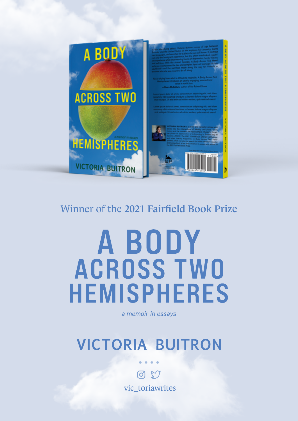

#### Winner of the 2021 Fairfield Book Prize

## A BODY **ACROSS TWO HEMISPHERES**

a memoir in essays

## **VICTORIA BUITRON**

09 vic toriawrites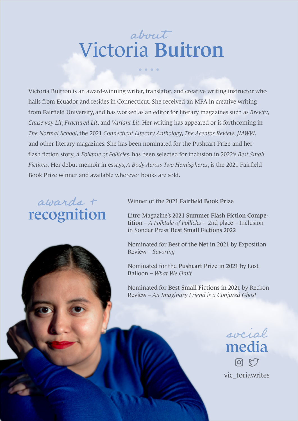## Victoria Buitron about

. . . .

Victoria Buitron is an award-winning writer, translator, and creative writing instructor who hails from Ecuador and resides in Connecticut. She received an MFA in creative writing from Fairfield University, and has worked as an editor for literary magazines such as *Brevity*, *Causeway Lit*, *Fractured Lit*, and *Variant Lit*. Her writing has appeared or is forthcoming in *The Normal School*, the 2021 *Connecticut Literary Antholog*y, *The Acentos Review*, *JMWW*, and other literary magazines. She has been nominated for the Pushcart Prize and her flash fiction story, *A Folktale of Follicles*, has been selected for inclusion in 2022's *Best Small Fictions*. Her debut memoir-in-essays, *A Body Across Two Hemispheres*, is the 2021 Fairfield Book Prize winner and available wherever books are sold.

#### recognition awards +

Winner of the 2021 Fairfield Book Prize

Litro Magazine's 2021 Summer Flash Fiction Competition – *A Folktale of Follicles* – 2nd place – Inclusion in Sonder Press' Best Small Fictions 2022

Nominated for Best of the Net in 2021 by Exposition Review – *Savoring*

Nominated for the Pushcart Prize in 2021 by Lost Balloon – *What We Omit*

Nominated for Best Small Fictions in 2021 by Reckon Review – *An Imaginary Friend is a Conjured Ghost*

> socialmedia **Q & L** vic\_toriawrites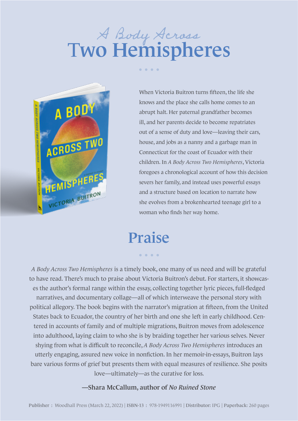# A Body Across

. . . .



When Victoria Buitron turns fifteen, the life she knows and the place she calls home comes to an abrupt halt. Her paternal grandfather becomes ill, and her parents decide to become repatriates out of a sense of duty and love—leaving their cars, house, and jobs as a nanny and a garbage man in Connecticut for the coast of Ecuador with their children. In *A Body Across Two Hemispheres*, Victoria foregoes a chronological account of how this decision severs her family, and instead uses powerful essays and a structure based on location to narrate how she evolves from a brokenhearted teenage girl to a woman who finds her way home.

### Praise

. . . .

*A Body Across Two Hemispheres* is a timely book, one many of us need and will be grateful to have read. There's much to praise about Victoria Buitron's debut. For starters, it showcases the author's formal range within the essay, collecting together lyric pieces, full-fledged narratives, and documentary collage—all of which interweave the personal story with political allegory. The book begins with the narrator's migration at fifteen, from the United States back to Ecuador, the country of her birth and one she left in early childhood. Centered in accounts of family and of multiple migrations, Buitron moves from adolescence into adulthood, laying claim to who she is by braiding together her various selves. Never shying from what is difficult to reconcile, *A Body Across Two Hemispheres* introduces an utterly engaging, assured new voice in nonfiction. In her memoir-in-essays, Buitron lays bare various forms of grief but presents them with equal measures of resilience. She posits love—ultimately—as the curative for loss.

#### —Shara McCallum, author of *No Ruined Stone*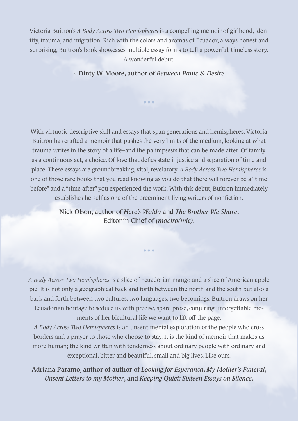Victoria Buitron's *A Body Across Two Hemispheres* is a compelling memoir of girlhood, identity, trauma, and migration. Rich with the colors and aromas of Ecuador, always honest and surprising, Buitron's book showcases multiple essay forms to tell a powerful, timeless story. A wonderful debut.

~ Dinty W. Moore, author of *Between Panic & Desire*

...

With virtuosic descriptive skill and essays that span generations and hemispheres, Victoria Buitron has crafted a memoir that pushes the very limits of the medium, looking at what trauma writes in the story of a life–and the palimpsests that can be made after. Of family as a continuous act, a choice. Of love that defies state injustice and separation of time and place. These essays are groundbreaking, vital, revelatory. *A Body Across Two Hemispheres* is one of those rare books that you read knowing as you do that there will forever be a "time before" and a "time after" you experienced the work. With this debut, Buitron immediately establishes herself as one of the preeminent living writers of nonfiction.

> Nick Olson, author of *Here's Waldo* and *The Brother We Share*, Editor-in-Chief of *(mac)ro(mic)*.

> > ...

*A Body Across Two Hemispheres* is a slice of Ecuadorian mango and a slice of American apple pie. It is not only a geographical back and forth between the north and the south but also a back and forth between two cultures, two languages, two becomings. Buitron draws on her Ecuadorian heritage to seduce us with precise, spare prose, conjuring unforgettable moments of her bicultural life we want to lift off the page.

*A Body Across Two Hemispheres* is an unsentimental exploration of the people who cross borders and a prayer to those who choose to stay. It is the kind of memoir that makes us more human; the kind written with tenderness about ordinary people with ordinary and exceptional, bitter and beautiful, small and big lives. Like ours.

Adriana Páramo, author of author of *Looking for Esperanza*, *My Mother's Funeral*, *Unsent Letters to my Mother*, and *Keeping Quiet: Sixteen Essays on Silence*.